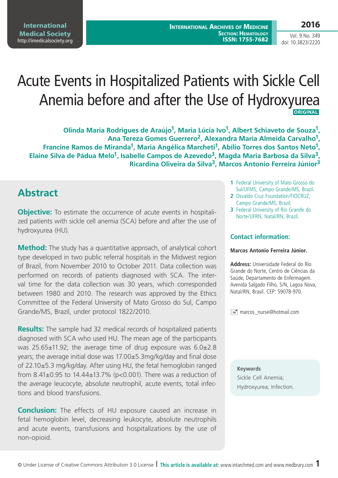# Acute Events in Hospitalized Patients with Sickle Cell Anemia before and after the Use of Hydroxyurea **ORIGINAL**

**Olinda Maria Rodrigues de Araújo1, Maria Lúcia Ivo1, Albert Schiaveto de Souza1, Ana Tereza Gomes Guerrero2, Alexandra Maria Almeida Carvalho1, Francine Ramos de Miranda1, Maria Angélica Marcheti1, Abílio Torres dos Santos Neto1, Elaine Silva de Pádua Melo1, Isabelle Campos de Azevedo3, Magda Maria Barbosa da Silva3, Ricardina Oliveira da Silva3, Marcos Antonio Ferreira Júnior3**

### **Abstract**

**Objective:** To estimate the occurrence of acute events in hospitalized patients with sickle cell anemia (SCA) before and after the use of hydroxyurea (HU).

**Method:** The study has a quantitative approach, of analytical cohort type developed in two public referral hospitals in the Midwest region of Brazil, from November 2010 to October 2011. Data collection was performed on records of patients diagnosed with SCA. The interval time for the data collection was 30 years, which corresponded between 1980 and 2010. The research was approved by the Ethics Committee of the Federal University of Mato Grosso do Sul, Campo Grande/MS, Brazil, under protocol 1822/2010.

**Results:** The sample had 32 medical records of hospitalized patients diagnosed with SCA who used HU. The mean age of the participants was 25.65±11.92; the average time of drug exposure was 6.0±2.8 years; the average initial dose was 17.00±5.3mg/kg/day and final dose of 22.10±5.3 mg/kg/day. After using HU, the fetal hemoglobin ranged from 8.41±0.95 to 14.44±13.7% (p<0.001). There was a reduction of the average leucocyte, absolute neutrophil, acute events, total infections and blood transfusions.

**Conclusion:** The effects of HU exposure caused an increase in fetal hemoglobin level, decreasing leukocyte, absolute neutrophils and acute events, transfusions and hospitalizations by the use of non-opioid.

- **1** Federal University of Mato Grosso do Sul/UFMS, Campo Grande/MS, Brazil.
- **2** Osvaldo Cruz Foundation/FIOCRUZ, Campo Grande/MS, Brazil.
- **3** Federal University of Rio Grande do Norte/UFRN, Natal/RN, Brazil.

#### **Contact information:**

#### **Marcos Antonio Ferreira Júnior.**

**Address:** Universidade Federal do Rio Grande do Norte, Centro de Ciências da Saúde, Departamento de Enfermagem. Avenida Salgado Filho, S/N, Lagoa Nova, Natal/RN, Brasil. CEP: 59078-970.

marcos\_nurse@hotmail.com

**Keywords** Sickle Cell Anemia; Hydroxyurea; Infection.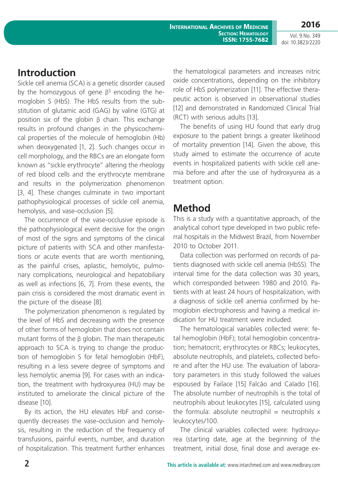### **Introduction**

Sickle cell anemia (SCA) is a genetic disorder caused by the homozygous of gene β<sup>s</sup> encoding the hemoglobin S (HbS). The HbS results from the substitution of glutamic acid (GAG) by valine (GTG) at position six of the globin β chain. This exchange results in profound changes in the physicochemical properties of the molecule of hemoglobin (Hb) when deoxygenated [1, 2]. Such changes occur in cell morphology, and the RBCs are an elongate form known as "sickle erythrocyte" altering the rheology of red blood cells and the erythrocyte membrane and results in the polymerization phenomenon [3, 4]. These changes culminate in two important pathophysiological processes of sickle cell anemia, hemolysis, and vase-occlusion [5].

The occurrence of the vase-occlusive episode is the pathophysiological event decisive for the origin of most of the signs and symptoms of the clinical picture of patients with SCA and other manifestations or acute events that are worth mentioning, as the painful crises, aplastic, hemolytic, pulmonary complications, neurological and hepatobiliary as well as infections [6, 7]. From these events, the pain crisis is considered the most dramatic event in the picture of the disease [8].

The polymerization phenomenon is regulated by the level of HbS and decreasing with the presence of other forms of hemoglobin that does not contain mutant forms of the β globin. The main therapeutic approach to SCA is trying to change the production of hemoglobin S for fetal hemoglobin (HbF), resulting in a less severe degree of symptoms and less hemolytic anemia [9]. For cases with an indication, the treatment with hydroxyurea (HU) may be instituted to ameliorate the clinical picture of the disease [10].

By its action, the HU elevates HbF and consequently decreases the vase-occlusion and hemolysis, resulting in the reduction of the frequency of transfusions, painful events, number, and duration of hospitalization. This treatment further enhances the hematological parameters and increases nitric oxide concentrations, depending on the inhibitory role of HbS polymerization [11]. The effective therapeutic action is observed in observational studies [12] and demonstrated in Randomized Clinical Trial (RCT) with serious adults [13].

The benefits of using HU found that early drug exposure to the patient brings a greater likelihood of mortality prevention [14]. Given the above, this study aimed to estimate the occurrence of acute events in hospitalized patients with sickle cell anemia before and after the use of hydroxyurea as a treatment option.

# **Method**

This is a study with a quantitative approach, of the analytical cohort type developed in two public referral hospitals in the Midwest Brazil, from November 2010 to October 2011.

Data collection was performed on records of patients diagnosed with sickle cell anemia (HbSS). The interval time for the data collection was 30 years, which corresponded between 1980 and 2010. Patients with at least 24 hours of hospitalization, with a diagnosis of sickle cell anemia confirmed by hemoglobin electrophoresis and having a medical indication for HU treatment were included.

The hematological variables collected were: fetal hemoglobin (HbF); total hemoglobin concentration; hematocrit; erythrocytes or RBCs; leukocytes, absolute neutrophils, and platelets, collected before and after the HU use. The evaluation of laboratory parameters in this study followed the values espoused by Failace [15] Falcão and Calado [16]. The absolute number of neutrophils is the total of neutrophils about leukocytes [15], calculated using the formula: absolute neutrophil = neutrophils  $x$ leukocytes/100.

The clinical variables collected were: hydroxyurea (starting date, age at the beginning of the treatment, initial dose, final dose and average ex-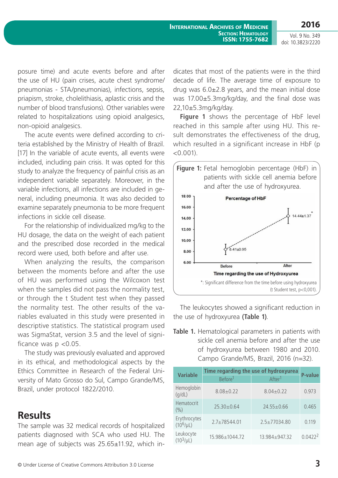**2016**

Vol. 9 No. 349 doi: 10.3823/2220

posure time) and acute events before and after the use of HU (pain crises, acute chest syndrome/ pneumonias - STA/pneumonias), infections, sepsis, priapism, stroke, cholelithiasis, aplastic crisis and the number of blood transfusions). Other variables were related to hospitalizations using opioid analgesics, non-opioid analgesics.

The acute events were defined according to criteria established by the Ministry of Health of Brazil. [17] In the variable of acute events, all events were included, including pain crisis. It was opted for this study to analyze the frequency of painful crisis as an independent variable separately. Moreover, in the variable infections, all infections are included in general, including pneumonia. It was also decided to examine separately pneumonia to be more frequent infections in sickle cell disease.

For the relationship of individualized mg/kg to the HU dosage, the data on the weight of each patient and the prescribed dose recorded in the medical record were used, both before and after use.

When analyzing the results, the comparison between the moments before and after the use of HU was performed using the Wilcoxon test when the samples did not pass the normality test, or through the t Student test when they passed the normality test. The other results of the variables evaluated in this study were presented in descriptive statistics. The statistical program used was SigmaStat, version 3.5 and the level of significance was  $p < 0.05$ .

The study was previously evaluated and approved in its ethical, and methodological aspects by the Ethics Committee in Research of the Federal University of Mato Grosso do Sul, Campo Grande/MS, Brazil, under protocol 1822/2010.

### **Results**

The sample was 32 medical records of hospitalized patients diagnosed with SCA who used HU. The mean age of subjects was 25.65±11.92, which indicates that most of the patients were in the third decade of life. The average time of exposure to drug was  $6.0\pm2.8$  years, and the mean initial dose was 17.00±5.3mg/kg/day, and the final dose was 22,10±5.3mg/kg/day.

**Figure 1** shows the percentage of HbF level reached in this sample after using HU. This result demonstrates the effectiveness of the drug, which resulted in a significant increase in HbF (p  $< 0.001$ ).



The leukocytes showed a significant reduction in the use of hydroxyurea **(Table 1)**.

**Table 1.** Hematological parameters in patients with sickle cell anemia before and after the use of hydroxyurea between 1980 and 2010. Campo Grande/MS, Brazil, 2016 (n=32).

| <b>Variable</b>                | Time regarding the use of hydroxyurea | <b>P-value</b>     |                     |
|--------------------------------|---------------------------------------|--------------------|---------------------|
|                                | Before <sup>1</sup>                   | After <sup>1</sup> |                     |
| Hemoglobin<br>(q/dL)           | $8.08 \pm 0.22$                       | $8.04 + 0.22$      | 0.973               |
| <b>Hematocrit</b><br>$($ %)    | $25.30 \pm 0.64$                      | $24.55 \pm 0.66$   | 0.465               |
| Erythrocytes<br>$(10^6/\mu L)$ | $2.7 \pm 78544.01$                    | $2.5 \pm 77034.80$ | 0.119               |
| Leukocyte<br>$(10^3/\mu L)$    | 15.986±1044.72                        | $13.984 + 947.32$  | 0.0422 <sup>2</sup> |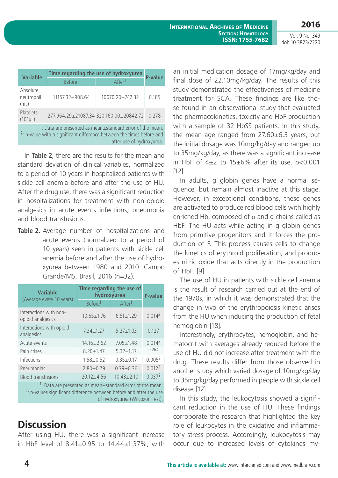| <b>Variable</b>                                                                                                                                                                         | Time regarding the use of hydroxyurea | <b>P-value</b>                          |       |  |  |
|-----------------------------------------------------------------------------------------------------------------------------------------------------------------------------------------|---------------------------------------|-----------------------------------------|-------|--|--|
|                                                                                                                                                                                         | Before <sup>1</sup>                   | After <sup>1</sup>                      |       |  |  |
| Absolute<br>neutrophil<br>(mL)                                                                                                                                                          | $11157.32 + 908.64$                   | 10070.20±742.32                         | 0.185 |  |  |
| Platelets<br>$(10^3 \mu L)$                                                                                                                                                             |                                       | 277.964.29±21087.34 320.160.00±20842.72 | 0.278 |  |  |
| <sup>1</sup> : Data are presented as mean±standard error of the mean.<br><sup>2</sup> : p-value with a significant difference between the times before and<br>after use of hydroxyurea. |                                       |                                         |       |  |  |

In **Table 2**, there are the results for the mean and standard deviation of clinical variables, normalized to a period of 10 years in hospitalized patients with sickle cell anemia before and after the use of HU. After the drug use, there was a significant reduction in hospitalizations for treatment with non-opioid analgesics in acute events infections, pneumonia and blood transfusions.

**Table 2.** Average number of hospitalizations and acute events (normalized to a period of 10 years) seen in patients with sickle cell anemia before and after the use of hydroxyurea between 1980 and 2010. Campo Grande/MS, Brasil, 2016 (n=32).

| <b>Variable</b>                                                       | Time regarding the use of<br>hydroxyurea |                    | <b>P-value</b>     |  |  |
|-----------------------------------------------------------------------|------------------------------------------|--------------------|--------------------|--|--|
| (Average every 10 years)                                              | Before <sup>1</sup>                      | After <sup>1</sup> |                    |  |  |
| Interactions with non-<br>opioid analgesics                           | $10.65 \pm 1.76$                         | $6.51 \pm 1.29$    | 0.014 <sup>2</sup> |  |  |
| Interactions with opioid<br>analgesics                                | $7.34 \pm 1.27$                          | $5.27 \pm 1.03$    | 0.127              |  |  |
| Acute events                                                          | $14.16 \pm 2.62$                         | $7.05 \pm 1.48$    | 0.014 <sup>2</sup> |  |  |
| Pain crises                                                           | $8.20 + 1.47$                            | $5.32 + 1.17$      | 0.264              |  |  |
| Infections                                                            | $1.58 + 0.52$                            | $0.35 + 0.17$      | 0.005 <sup>2</sup> |  |  |
| Pneumonias                                                            | $2.80 + 0.79$                            | $0.79 + 0.36$      | 0.012 <sup>2</sup> |  |  |
| <b>Blood transfusions</b>                                             | $20.12 + 4.56$                           | $10.43 \pm 2.10$   | 0.037 <sup>2</sup> |  |  |
| <sup>1</sup> : Data are presented as mean±standard error of the mean. |                                          |                    |                    |  |  |

 $2$ : p-values significant difference between before and after the use of hydroxyurea (Wilcoxon Test).

# **Discussion**

After using HU, there was a significant increase in HbF level of 8.41±0.95 to 14.44±1.37%, with

an initial medication dosage of 17mg/kg/day and final dose of 22.10mg/kg/day. The results of this study demonstrated the effectiveness of medicine treatment for SCA. These findings are like those found in an observational study that evaluated the pharmacokinetics, toxicity and HbF production with a sample of 32 HbSS patients. In this study, the mean age ranged from  $27.60\pm6.3$  years, but the initial dosage was 10mg/kg/day and ranged up to 35mg/kg/day, as there was a significant increase in HbF of  $4\pm2$  to  $15\pm6\%$  after its use, p<0.001 [12].

In adults, g globin genes have a normal sequence, but remain almost inactive at this stage. However, in exceptional conditions, these genes are activated to produce red blood cells with highly enriched Hb, composed of  $\alpha$  and g chains called as HbF. The HU acts while acting in g globin genes from primitive progenitors and it forces the production of F. This process causes cells to change the kinetics of erythroid proliferation, and produces nitric oxide that acts directly in the production of HbF. [9]

The use of HU in patients with sickle cell anemia is the result of research carried out at the end of the 1970s, in which it was demonstrated that the change in vivo of the erythropoiesis kinetic arises from the HU when inducing the production of fetal hemoglobin [18].

Interestingly, erythrocytes, hemoglobin, and hematocrit with averages already reduced before the use of HU did not increase after treatment with the drug. These results differ from those observed in another study which varied dosage of 10mg/kg/day to 35mg/kg/day performed in people with sickle cell disease [12].

In this study, the leukocytosis showed a significant reduction in the use of HU. These findings corroborate the research that highlighted the key role of leukocytes in the oxidative and inflammatory stress process. Accordingly, leukocytosis may occur due to increased levels of cytokines my-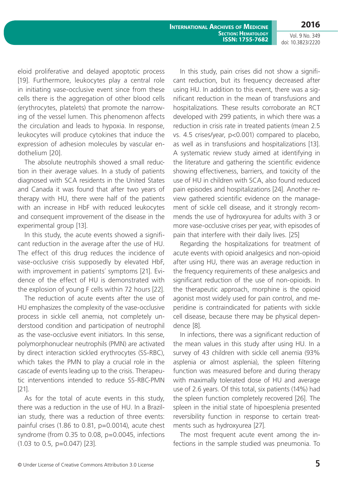**International Archives of Medicine Section: Hematology ISSN: 1755-7682**

Vol. 9 No. 349 doi: 10.3823/2220

**2016**

eloid proliferative and delayed apoptotic process [19]. Furthermore, leukocytes play a central role in initiating vase-occlusive event since from these cells there is the aggregation of other blood cells (erythrocytes, platelets) that promote the narrowing of the vessel lumen. This phenomenon affects the circulation and leads to hypoxia. In response, leukocytes will produce cytokines that induce the expression of adhesion molecules by vascular endothelium [20].

The absolute neutrophils showed a small reduction in their average values. In a study of patients diagnosed with SCA residents in the United States and Canada it was found that after two years of therapy with HU, there were half of the patients with an increase in HbF with reduced leukocytes and consequent improvement of the disease in the experimental group [13].

In this study, the acute events showed a significant reduction in the average after the use of HU. The effect of this drug reduces the incidence of vase-occlusive crisis supposedly by elevated HbF, with improvement in patients´ symptoms [21]. Evidence of the effect of HU is demonstrated with the explosion of young F cells within 72 hours [22].

The reduction of acute events after the use of HU emphasizes the complexity of the vase-occlusive process in sickle cell anemia, not completely understood condition and participation of neutrophil as the vase-occlusive event initiators. In this sense, polymorphonuclear neutrophils (PMN) are activated by direct interaction sickled erythrocytes (SS-RBC), which takes the PMN to play a crucial role in the cascade of events leading up to the crisis. Therapeutic interventions intended to reduce SS-RBC-PMN [21].

As for the total of acute events in this study, there was a reduction in the use of HU. In a Brazilian study, there was a reduction of three events: painful crises (1.86 to 0.81,  $p=0.0014$ ), acute chest syndrome (from 0.35 to 0.08, p=0.0045, infections (1.03 to 0.5, p=0.047) [23].

In this study, pain crises did not show a significant reduction, but its frequency decreased after using HU. In addition to this event, there was a significant reduction in the mean of transfusions and hospitalizations. These results corroborate an RCT developed with 299 patients, in which there was a reduction in crisis rate in treated patients (mean 2.5 vs. 4.5 crises/year, p<0.001) compared to placebo, as well as in transfusions and hospitalizations [13]. A systematic review study aimed at identifying in the literature and gathering the scientific evidence showing effectiveness, barriers, and toxicity of the use of HU in children with SCA, also found reduced pain episodes and hospitalizations [24]. Another review gathered scientific evidence on the management of sickle cell disease, and it strongly recommends the use of hydroxyurea for adults with 3 or more vase-occlusive crises per year, with episodes of pain that interfere with their daily lives. [25]

Regarding the hospitalizations for treatment of acute events with opioid analgesics and non-opioid after using HU, there was an average reduction in the frequency requirements of these analgesics and significant reduction of the use of non-opioids. In the therapeutic approach, morphine is the opioid agonist most widely used for pain control, and meperidine is contraindicated for patients with sickle cell disease, because there may be physical dependence [8].

In infections, there was a significant reduction of the mean values in this study after using HU. In a survey of 43 children with sickle cell anemia (93% asplenia or almost asplenia), the spleen filtering function was measured before and during therapy with maximally tolerated dose of HU and average use of 2.6 years. Of this total, six patients (14%) had the spleen function completely recovered [26]. The spleen in the initial state of hipoesplenia presented reversibility function in response to certain treatments such as hydroxyurea [27].

The most frequent acute event among the infections in the sample studied was pneumonia. To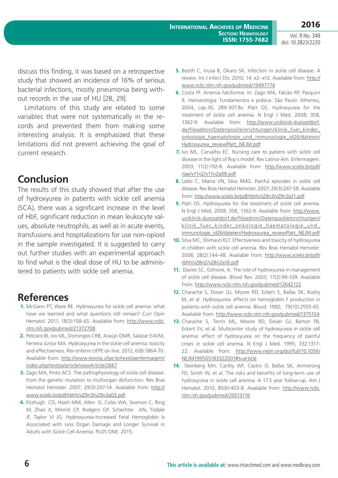discuss this finding, it was based on a retrospective study that showed an incidence of 16% of serious bacterial infections, mostly pneumonia being without records in the use of HU [28, 29].

Limitations of this study are related to some variables that were not systematically in the records and prevented them from making some interesting analysis. It is emphasized that these limitations did not prevent achieving the goal of current research.

# **Conclusion**

The results of this study showed that after the use of hydroxyurea in patients with sickle cell anemia (SCA), there was a significant increase in the level of HbF, significant reduction in mean leukocyte values, absolute neutrophils, as well as in acute events, transfusions and hospitalizations for use non-opioid in the sample investigated. It is suggested to carry out further studies with an experimental approach to find what is the ideal dose of HU to be administered to patients with sickle cell anemia.

# **References**

- **1.** McGann PT, Ware RE. Hydroxyurea for sickle cell anemia: what have we learned and what questions still remain? Curr Opin Hematol. 2011; 18(3):158-65. Available from: [http://www.ncbi.](http://www.ncbi.nlm.nih.gov/pubmed/21372708) [nlm.nih.gov/pubmed/21372708](http://www.ncbi.nlm.nih.gov/pubmed/21372708)
- **2.** Pelizaro BI, Ivo ML, Domingos CRB, Araújo OMR, Salazar EAVM, Ferreira Júnior MA. Hydroxyurea in the sickle cell anemia: toxicity and effectiveness. Rev enferm UFPE on line. 2012; 6(8):1864-70. Available from: [http://www.revista.ufpe.br/revistaenfermagem/](http://www.revista.ufpe.br/revistaenfermagem/index.php/revista/article/viewArticle/2667) [index.php/revista/article/viewArticle/2667](http://www.revista.ufpe.br/revistaenfermagem/index.php/revista/article/viewArticle/2667)
- **3.** Zago MA, Pinto ACS. The pathophysiology of sickle cell disease: from the genetic mutation to multiorgan disfunction. Rev Bras Hematol Hemoter. 2007; 29(3):207-14. Available from: [http://](http://www.scielo.br/pdf/rbhh/v29n3/v29n3a03.pdf) [www.scielo.br/pdf/rbhh/v29n3/v29n3a03.pdf](http://www.scielo.br/pdf/rbhh/v29n3/v29n3a03.pdf)
- **4.** Fitzhugh CD, Hsieh MM, Allen D, Coles WA, Seamon C, Ring M, Zhao X, Minniti CP, Rodgers GP, Schechter AN, Tisdale JF, Taylor VI JG. Hydroxyurea-Increased Fetal Hemoglobin Is Associated with Less Organ Damage and Longer Survival in Adults with Sickle Cell Anemia. PLOS ONE. 2015;
- **5.** Booth C, Inusa B, Okaro SK. Infection in sickle cell disease: A review. Int J Infect Dis. 2010; 14: e2- e12. Available from: [http://](http://www.ncbi.nlm.nih.gov/pubmed/19497774) [www.ncbi.nlm.nih.gov/pubmed/19497774](http://www.ncbi.nlm.nih.gov/pubmed/19497774)
- **6.** Costa FF. Anemia falciforme. In: Zago MA, Falcão RP, Pasquini R. Hematologia: Fundamentos e prática. São Paulo: Atheneu, 2004, cap.30, 289-307.8v. Platt OS. Hydroxyurea for the treatment of sickle cell anemia. N Engl J Med, 2008; 358, 1362-9. Available from: [http://www.uniklinik-duesseldorf.](http://www.uniklinik-duesseldorf.de/fileadmin/Datenpool/einrichtungen/klinik_fuer_kinder_onkologie_haematologie_und_immunologie_id26/dateien/Hydroxyurea_reviewPlatt_NEJM.pdf) [de/fileadmin/Datenpool/einrichtungen/klinik\\_fuer\\_kinder\\_](http://www.uniklinik-duesseldorf.de/fileadmin/Datenpool/einrichtungen/klinik_fuer_kinder_onkologie_haematologie_und_immunologie_id26/dateien/Hydroxyurea_reviewPlatt_NEJM.pdf) [onkologie\\_haematologie\\_und\\_immunologie\\_id26/dateien/](http://www.uniklinik-duesseldorf.de/fileadmin/Datenpool/einrichtungen/klinik_fuer_kinder_onkologie_haematologie_und_immunologie_id26/dateien/Hydroxyurea_reviewPlatt_NEJM.pdf) [Hydroxyurea\\_reviewPlatt\\_NEJM.pdf](http://www.uniklinik-duesseldorf.de/fileadmin/Datenpool/einrichtungen/klinik_fuer_kinder_onkologie_haematologie_und_immunologie_id26/dateien/Hydroxyurea_reviewPlatt_NEJM.pdf)
- **7.** Ivo ML. Carvalho EC. Nursing care to patiens with sickle cell disease in the light of Roy's model. Rev Latino-Am. Enfermagem. 2003; 11(2):192-8. Available from: [http://www.scielo.br/pdf/](http://www.scielo.br/pdf/rlae/v11n2/v11n2a08.pdf) [rlae/v11n2/v11n2a08.pdf](http://www.scielo.br/pdf/rlae/v11n2/v11n2a08.pdf)
- **8.** Lobo C, Marra VN, Silva RMG. Painful episodes in sickle cell disease. Rev Bras Hematol Hemoter. 2007; 29(3):247-58. Available from:<http://www.scielo.br/pdf/rbhh/v29n3/v29n3a11.pdf>
- **9.** Platt OS. Hydroxyurea for the treatment of sickle cell anemia. N Engl J Med, 2008; 358, 1362-9. Available from: [http://www.](http://www.uniklinik-duesseldorf.de/fileadmin/Datenpool/einrichtungen/klinik_fuer_kinder_onkologie_haematologie_und_immunologie_id26/dateien/Hydroxyurea_reviewPlatt_NEJM.pdf) [uniklinik-duesseldorf.de/fileadmin/Datenpool/einrichtungen/](http://www.uniklinik-duesseldorf.de/fileadmin/Datenpool/einrichtungen/klinik_fuer_kinder_onkologie_haematologie_und_immunologie_id26/dateien/Hydroxyurea_reviewPlatt_NEJM.pdf) klinik fuer kinder onkologie haematologie und [immunologie\\_id26/dateien/Hydroxyurea\\_reviewPlatt\\_NEJM.pdf](http://www.uniklinik-duesseldorf.de/fileadmin/Datenpool/einrichtungen/klinik_fuer_kinder_onkologie_haematologie_und_immunologie_id26/dateien/Hydroxyurea_reviewPlatt_NEJM.pdf)
- **10.** Silva MC, Shimauti ELT. Effectiveness and toxicity of hydroxyurea in children with sickle cell anemia. Rev Bras Hematol Hemoter. 2006; 28(2):144-48. Available from: [http://www.scielo.br/pdf/](http://www.scielo.br/pdf/rbhh/v28n2/v28n2a16.pdf) [rbhh/v28n2/v28n2a16.pdf](http://www.scielo.br/pdf/rbhh/v28n2/v28n2a16.pdf)
- **11.** Davies SC, Gilmore, A. The role of hydroxyurea in management of sickle cell disease. Blood Rev. 2003; 17(2):99-109. Available from: <http://www.ncbi.nlm.nih.gov/pubmed/12642122>
- **12.** Charache S, Dover GJ, Moore RD, Eckert S, Ballas SK, Koshy M, et al. Hydroxyurea: effects on hemoglobin F production in patients with sickle cell anemia. Blood. 1992; 79(10):2555-65. Available from: <http://www.ncbi.nlm.nih.gov/pubmed/1375104>
- **13.** Charache S, Terrin ML, Moore RD, Dover GJ, Barton FB, Eckert SV, et al. Multicenter study of hydroxyurea in sickle cell anemia: effect of hydroxyurea on the frequency of painful crises in sickle cell anemia. N Engl J Med. 1995; 332:1317- 22. Available from: [http://www.nejm.org/doi/full/10.1056/](http://www.nejm.org/doi/full/10.1056/NEJM199505183322001#t=article) [NEJM199505183322001#t=article](http://www.nejm.org/doi/full/10.1056/NEJM199505183322001#t=article)
- **14.** Steinberg MH, Carthy WF, Castro O, Ballas SK, Armstrong FD, Smith W, et al. The risks and benefits of long-term use of hydroxyurea in sickle cell anemia: A 17.5 year follow-up. Am J Hematol. 2010; 85(6):403-8. Available from: [http://www.ncbi.](http://www.ncbi.nlm.nih.gov/pubmed/20513116) [nlm.nih.gov/pubmed/20513116](http://www.ncbi.nlm.nih.gov/pubmed/20513116)